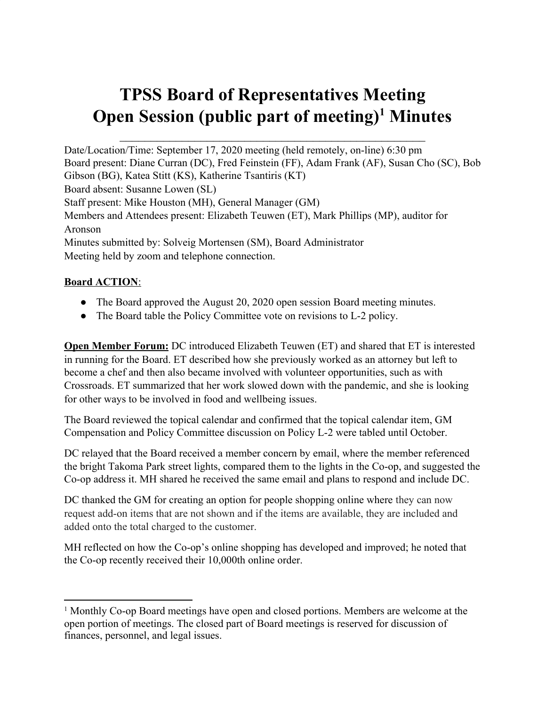# **TPSS Board of Representatives Meeting Open Session (public part of meeting) <sup>1</sup> Minutes**

 $\mathcal{L}_\text{max}$  , and the contract of the contract of the contract of the contract of the contract of the contract of the contract of the contract of the contract of the contract of the contract of the contract of the contr

Date/Location/Time: September 17, 2020 meeting (held remotely, on-line) 6:30 pm Board present: Diane Curran (DC), Fred Feinstein (FF), Adam Frank (AF), Susan Cho (SC), Bob Gibson (BG), Katea Stitt (KS), Katherine Tsantiris (KT) Board absent: Susanne Lowen (SL) Staff present: Mike Houston (MH), General Manager (GM) Members and Attendees present: Elizabeth Teuwen (ET), Mark Phillips (MP), auditor for Aronson Minutes submitted by: Solveig Mortensen (SM), Board Administrator Meeting held by zoom and telephone connection.

#### **Board ACTION**:

- The Board approved the August 20, 2020 open session Board meeting minutes.
- The Board table the Policy Committee vote on revisions to L-2 policy.

**Open Member Forum:** DC introduced Elizabeth Teuwen (ET) and shared that ET is interested in running for the Board. ET described how she previously worked as an attorney but left to become a chef and then also became involved with volunteer opportunities, such as with Crossroads. ET summarized that her work slowed down with the pandemic, and she is looking for other ways to be involved in food and wellbeing issues.

The Board reviewed the topical calendar and confirmed that the topical calendar item, GM Compensation and Policy Committee discussion on Policy L-2 were tabled until October.

DC relayed that the Board received a member concern by email, where the member referenced the bright Takoma Park street lights, compared them to the lights in the Co-op, and suggested the Co-op address it. MH shared he received the same email and plans to respond and include DC.

DC thanked the GM for creating an option for people shopping online where they can now request add-on items that are not shown and if the items are available, they are included and added onto the total charged to the customer.

MH reflected on how the Co-op's online shopping has developed and improved; he noted that the Co-op recently received their 10,000th online order.

<sup>&</sup>lt;sup>1</sup> Monthly Co-op Board meetings have open and closed portions. Members are welcome at the open portion of meetings. The closed part of Board meetings is reserved for discussion of finances, personnel, and legal issues.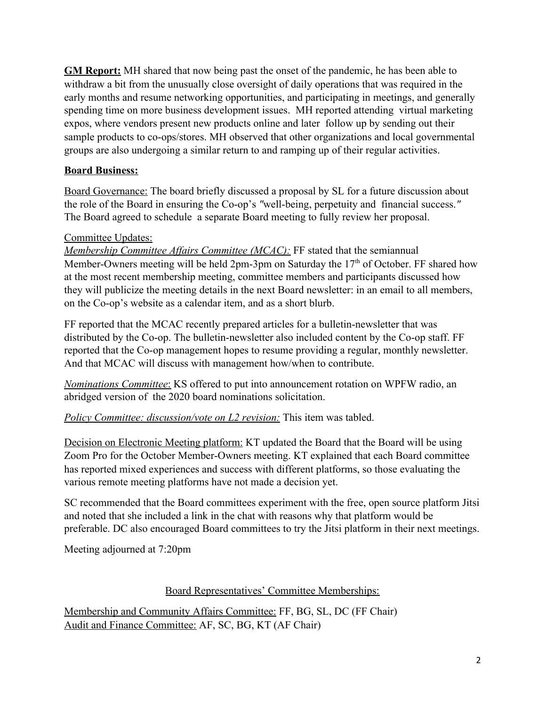**GM Report:** MH shared that now being past the onset of the pandemic, he has been able to withdraw a bit from the unusually close oversight of daily operations that was required in the early months and resume networking opportunities, and participating in meetings, and generally spending time on more business development issues. MH reported attending virtual marketing expos, where vendors present new products online and later follow up by sending out their sample products to co-ops/stores. MH observed that other organizations and local governmental groups are also undergoing a similar return to and ramping up of their regular activities.

#### **Board Business:**

Board Governance: The board briefly discussed a proposal by SL for a future discussion about the role of the Board in ensuring the Co-op's *"*well-being, perpetuity and financial success.*"* The Board agreed to schedule a separate Board meeting to fully review her proposal.

#### Committee Updates:

*Membership Committee Affairs Committee (MCAC):* FF stated that the semiannual Member-Owners meeting will be held 2pm-3pm on Saturday the 17<sup>th</sup> of October. FF shared how at the most recent membership meeting, committee members and participants discussed how they will publicize the meeting details in the next Board newsletter: in an email to all members, on the Co-op's website as a calendar item, and as a short blurb.

FF reported that the MCAC recently prepared articles for a bulletin-newsletter that was distributed by the Co-op. The bulletin-newsletter also included content by the Co-op staff. FF reported that the Co-op management hopes to resume providing a regular, monthly newsletter. And that MCAC will discuss with management how/when to contribute.

*Nominations Committee*: KS offered to put into announcement rotation on WPFW radio, an abridged version of the 2020 board nominations solicitation.

*Policy Committee: discussion/vote on L2 revision:* This item was tabled.

Decision on Electronic Meeting platform: KT updated the Board that the Board will be using Zoom Pro for the October Member-Owners meeting. KT explained that each Board committee has reported mixed experiences and success with different platforms, so those evaluating the various remote meeting platforms have not made a decision yet.

SC recommended that the Board committees experiment with the free, open source platform Jitsi and noted that she included a link in the chat with reasons why that platform would be preferable. DC also encouraged Board committees to try the Jitsi platform in their next meetings.

Meeting adjourned at 7:20pm

#### Board Representatives' Committee Memberships:

Membership and Community Affairs Committee: FF, BG, SL, DC (FF Chair) Audit and Finance Committee: AF, SC, BG, KT (AF Chair)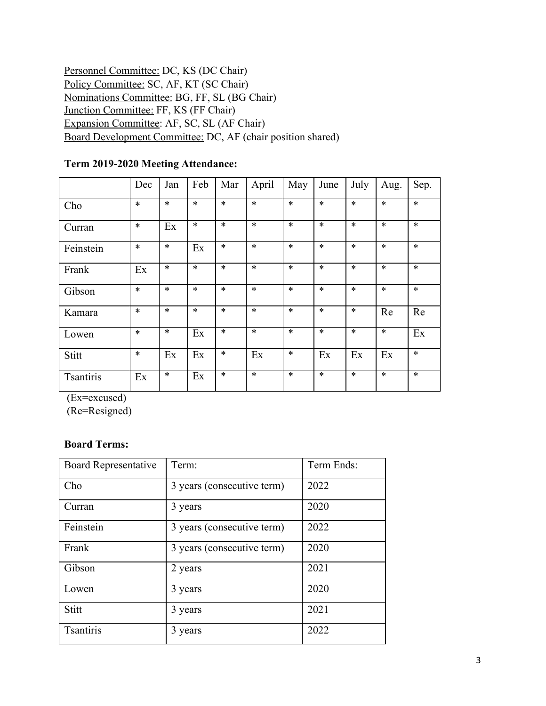| Personnel Committee: DC, KS (DC Chair)                      |
|-------------------------------------------------------------|
| Policy Committee: SC, AF, KT (SC Chair)                     |
| Nominations Committee: BG, FF, SL (BG Chair)                |
| Junction Committee: FF, KS (FF Chair)                       |
| Expansion Committee: AF, SC, SL (AF Chair)                  |
| Board Development Committee: DC, AF (chair position shared) |

## **Term 2019-2020 Meeting Attendance:**

|                  | Dec    | Jan    | Feb    | Mar    | April  | May    | June   | July   | Aug.   | Sep.   |
|------------------|--------|--------|--------|--------|--------|--------|--------|--------|--------|--------|
| Cho              | $\ast$ | $\ast$ | $\ast$ | $\ast$ | $\ast$ | $\ast$ | $\ast$ | $\ast$ | $\ast$ | $\ast$ |
| Curran           | $\ast$ | Ex     | $\ast$ | $\ast$ | $\ast$ | $\ast$ | $\ast$ | $\ast$ | $\ast$ | $\ast$ |
| Feinstein        | $\ast$ | $\ast$ | Ex     | $\ast$ | $\ast$ | $\ast$ | $\ast$ | $\ast$ | $\ast$ | $\ast$ |
| Frank            | Ex     | $\ast$ | $\ast$ | $\ast$ | $\ast$ | $\ast$ | $\ast$ | $\ast$ | $\ast$ | $\ast$ |
| Gibson           | $\ast$ | $\ast$ | $\ast$ | $\ast$ | $\ast$ | $\ast$ | $\ast$ | $\ast$ | $\ast$ | $\ast$ |
| Kamara           | $\ast$ | $\ast$ | $\ast$ | $\ast$ | $\ast$ | $\ast$ | $\ast$ | $\ast$ | Re     | Re     |
| Lowen            | $\ast$ | $\ast$ | Ex     | $\ast$ | $\ast$ | $\ast$ | $\ast$ | $\ast$ | $\ast$ | Ex     |
| Stitt            | $\ast$ | Ex     | Ex     | $\ast$ | Ex     | $\ast$ | Ex     | Ex     | Ex     | $\ast$ |
| <b>Tsantiris</b> | Ex     | $\ast$ | Ex     | $\ast$ | $\ast$ | $\ast$ | $\ast$ | $\ast$ | $\ast$ | $\ast$ |

(Ex=excused)

(Re=Resigned)

### **Board Terms:**

| <b>Board Representative</b> | Term:                      | Term Ends: |
|-----------------------------|----------------------------|------------|
| Cho                         | 3 years (consecutive term) | 2022       |
| Curran                      | 3 years                    | 2020       |
| Feinstein                   | 3 years (consecutive term) | 2022       |
| Frank                       | 3 years (consecutive term) | 2020       |
| Gibson                      | 2 years                    | 2021       |
| Lowen                       | 3 years                    | 2020       |
| Stitt                       | 3 years                    | 2021       |
| <b>Tsantiris</b>            | 3 years                    | 2022       |